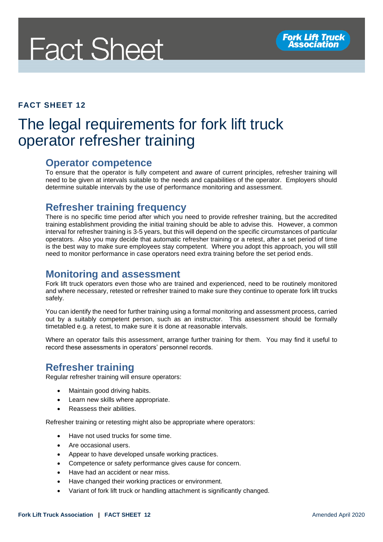# **Fact Sheet**

#### **FACT SHEET 12**

### The legal requirements for fork lift truck operator refresher training

#### **Operator competence**

To ensure that the operator is fully competent and aware of current principles, refresher training will need to be given at intervals suitable to the needs and capabilities of the operator. Employers should determine suitable intervals by the use of performance monitoring and assessment.

#### **Refresher training frequency**

There is no specific time period after which you need to provide refresher training, but the accredited training establishment providing the initial training should be able to advise this. However, a common interval for refresher training is 3-5 years, but this will depend on the specific circumstances of particular operators. Also you may decide that automatic refresher training or a retest, after a set period of time is the best way to make sure employees stay competent. Where you adopt this approach, you will still need to monitor performance in case operators need extra training before the set period ends.

#### **Monitoring and assessment**

Fork lift truck operators even those who are trained and experienced, need to be routinely monitored and where necessary, retested or refresher trained to make sure they continue to operate fork lift trucks safely.

You can identify the need for further training using a formal monitoring and assessment process, carried out by a suitably competent person, such as an instructor. This assessment should be formally timetabled e.g. a retest, to make sure it is done at reasonable intervals.

Where an operator fails this assessment, arrange further training for them. You may find it useful to record these assessments in operators' personnel records.

#### **Refresher training**

Regular refresher training will ensure operators:

- Maintain good driving habits.
- Learn new skills where appropriate.
- Reassess their abilities.

Refresher training or retesting might also be appropriate where operators:

- Have not used trucks for some time.
- Are occasional users.
- Appear to have developed unsafe working practices.
- Competence or safety performance gives cause for concern.
- Have had an accident or near miss.
- Have changed their working practices or environment.
- Variant of fork lift truck or handling attachment is significantly changed.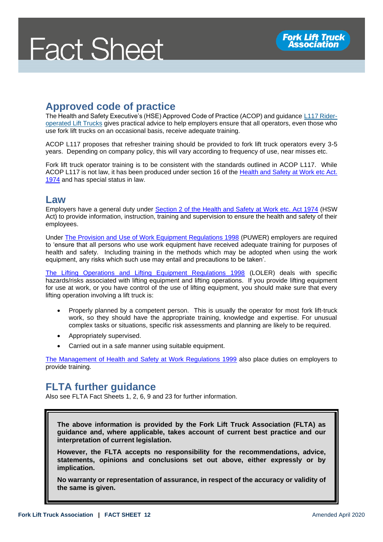## **Fact Sheet**

#### **Approved code of practice**

The Health and Safety Executive's (HSE) Approved Code of Practice (ACOP) and guidance [L117 Rider](http://www.hse.gov.uk/pUbns/priced/l117.pdf)[operated Lift Trucks](http://www.hse.gov.uk/pUbns/priced/l117.pdf) gives practical advice to help employers ensure that all operators, even those who use fork lift trucks on an occasional basis, receive adequate training.

ACOP L117 proposes that refresher training should be provided to fork lift truck operators every 3-5 years. Depending on company policy, this will vary according to frequency of use, near misses etc.

Fork lift truck operator training is to be consistent with the standards outlined in ACOP L117. While ACOP L117 is not law, it has been produced under section 16 of the Health and Safety at Work etc Act. [1974](http://www.legislation.gov.uk/ukpga/1974/37/section/16) and has special status in law.

#### **Law**

Employers have a general duty under [Section 2 of the Health and Safety at Work etc. Act 1974](http://www.legislation.gov.uk/ukpga/1974/37/section/2) (HSW Act) to provide information, instruction, training and supervision to ensure the health and safety of their employees.

Under [The Provision and Use of Work Equipment Regulations 1998](http://www.legislation.gov.uk/uksi/1998/2306/contents/made) (PUWER) employers are required to 'ensure that all persons who use work equipment have received adequate training for purposes of health and safety. Including training in the methods which may be adopted when using the work equipment, any risks which such use may entail and precautions to be taken'.

[The Lifting Operations and Lifting Equipment Regulations 1998](http://www.legislation.gov.uk/uksi/1998/2307/contents/made) (LOLER) deals with specific hazards/risks associated with lifting equipment and lifting operations. If you provide lifting equipment for use at work, or you have control of the use of lifting equipment, you should make sure that every lifting operation involving a lift truck is:

- Properly planned by a competent person. This is usually the operator for most fork lift-truck work, so they should have the appropriate training, knowledge and expertise. For unusual complex tasks or situations, specific risk assessments and planning are likely to be required.
- Appropriately supervised.
- Carried out in a safe manner using suitable equipment.

[The Management of Health and Safety at Work Regulations 1999](http://www.legislation.gov.uk/uksi/1999/3242/contents/made) also place duties on employers to provide training.

#### **FLTA further guidance**

Also see FLTA Fact Sheets 1, 2, 6, 9 and 23 for further information.

**The above information is provided by the Fork Lift Truck Association (FLTA) as guidance and, where applicable, takes account of current best practice and our interpretation of current legislation.** 

**However, the FLTA accepts no responsibility for the recommendations, advice, statements, opinions and conclusions set out above, either expressly or by implication.**

**No warranty or representation of assurance, in respect of the accuracy or validity of the same is given.**